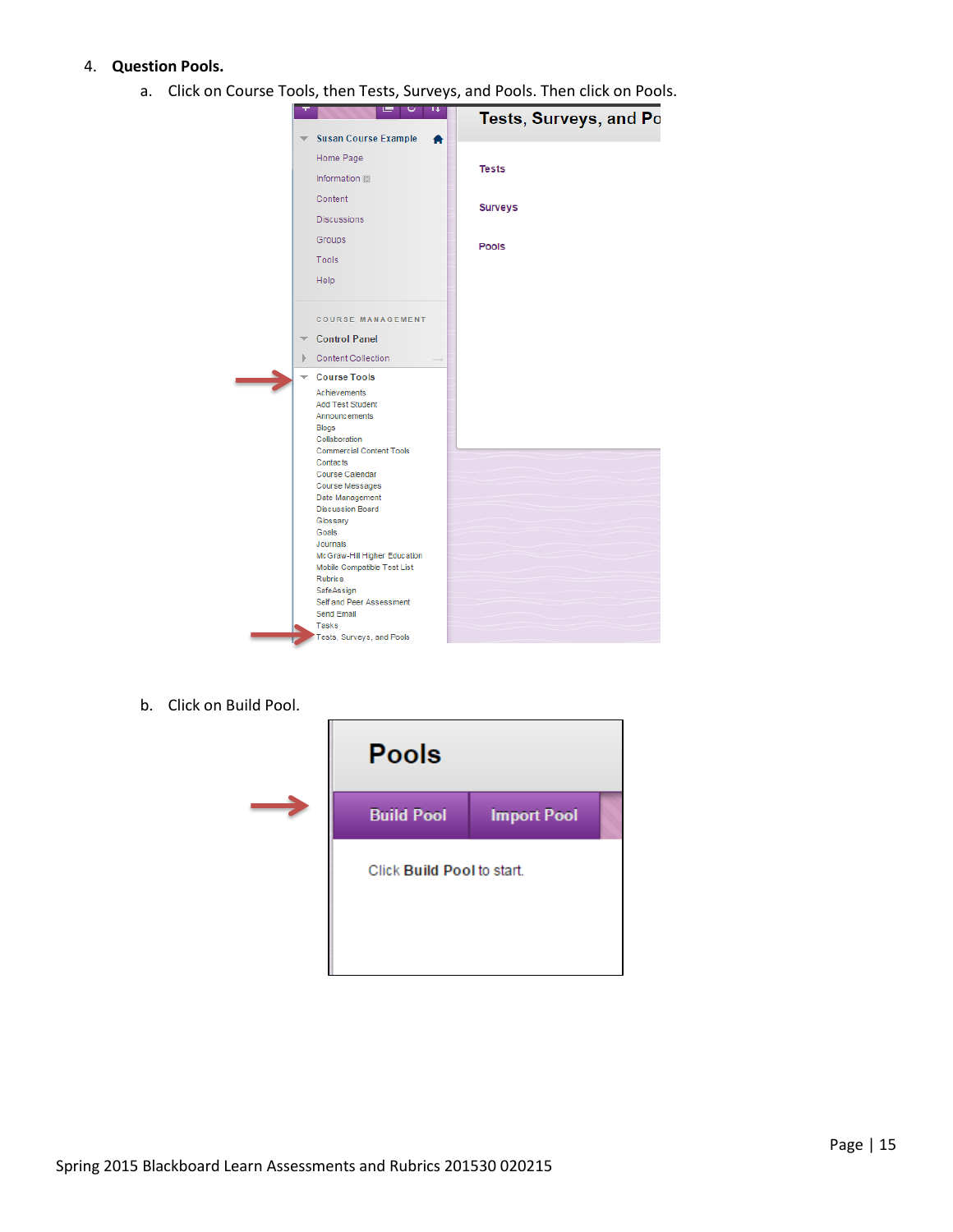## 4. **Question Pools.**

a. Click on Course Tools, then Tests, Surveys, and Pools. Then click on Pools.



b. Click on Build Pool.

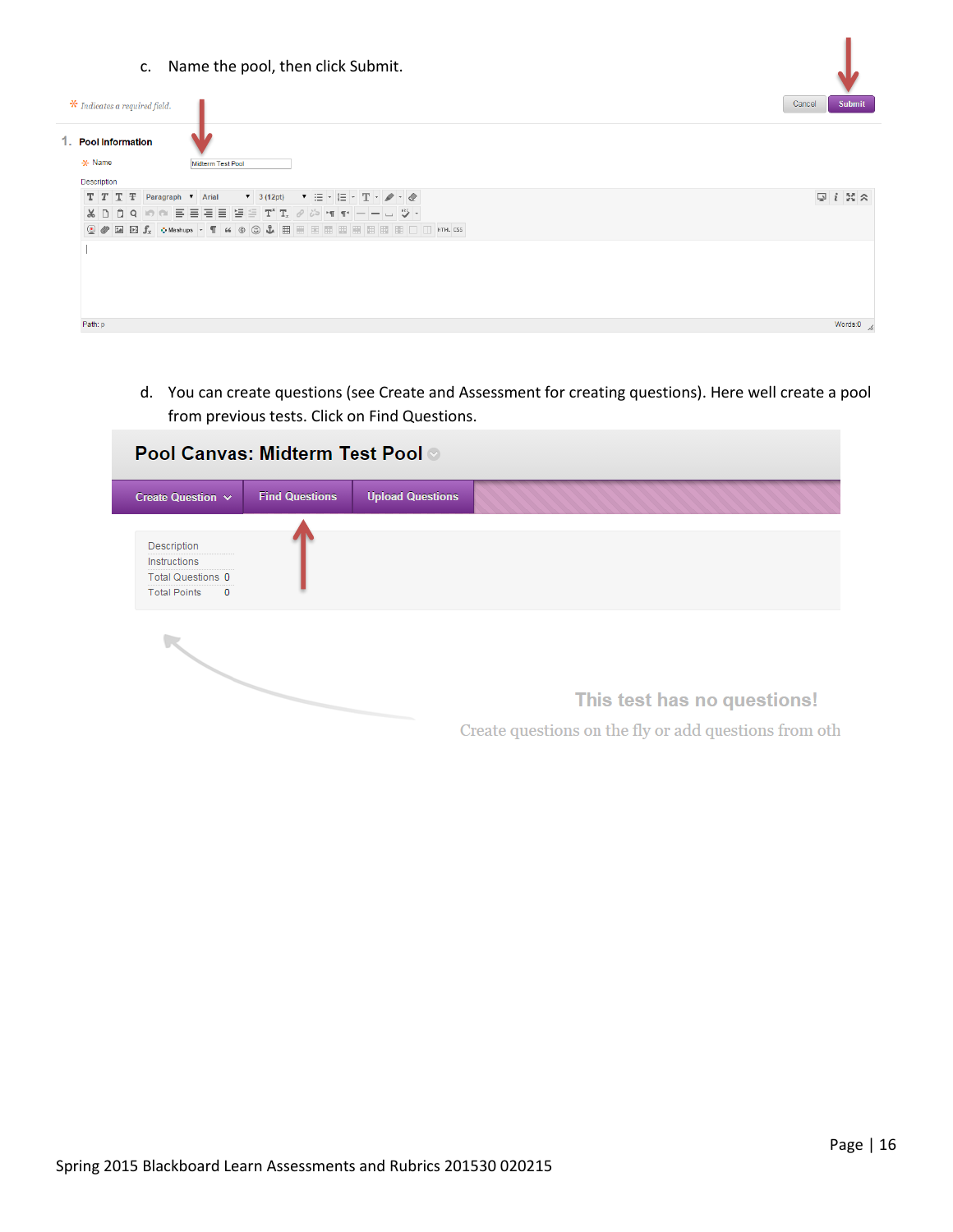c. Name the pool, then click Submit.



d. You can create questions (see Create and Assessment for creating questions). Here well create a pool from previous tests. Click on Find Questions.

| <b>Pool Canvas: Midterm Test Pool ©</b>                                             |                       |                         |                                                       |  |  |  |  |
|-------------------------------------------------------------------------------------|-----------------------|-------------------------|-------------------------------------------------------|--|--|--|--|
| Create Question v                                                                   | <b>Find Questions</b> | <b>Upload Questions</b> |                                                       |  |  |  |  |
| Description<br>Instructions<br><b>Total Questions 0</b><br><b>Total Points</b><br>0 |                       |                         |                                                       |  |  |  |  |
|                                                                                     |                       |                         | This test has no questions!                           |  |  |  |  |
|                                                                                     |                       |                         | Create questions on the fly or add questions from oth |  |  |  |  |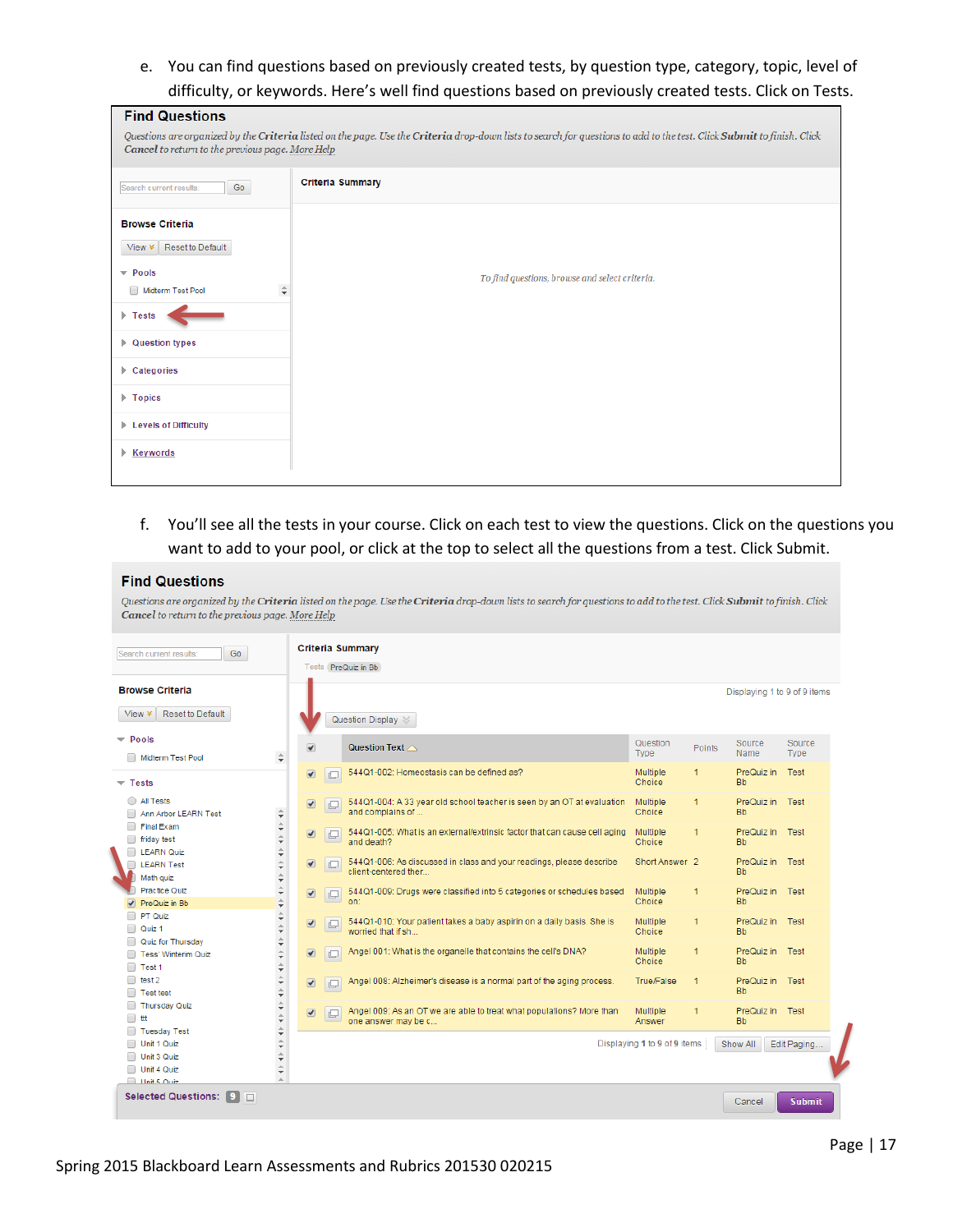e. You can find questions based on previously created tests, by question type, category, topic, level of difficulty, or keywords. Here's well find questions based on previously created tests. Click on Tests.

| <b>Find Questions</b>                                                                                                                                                                                                      |                                                |  |  |  |  |  |
|----------------------------------------------------------------------------------------------------------------------------------------------------------------------------------------------------------------------------|------------------------------------------------|--|--|--|--|--|
| Questions are organized by the Criteria listed on the page. Use the Criteria drop-down lists to search for questions to add to the test. Click Submit to finish. Click<br>Cancel to return to the previous page. More Help |                                                |  |  |  |  |  |
| Go<br>Search current results:                                                                                                                                                                                              | <b>Criteria Summary</b>                        |  |  |  |  |  |
| <b>Browse Criteria</b>                                                                                                                                                                                                     |                                                |  |  |  |  |  |
| Reset to Default<br>$View \times$                                                                                                                                                                                          |                                                |  |  |  |  |  |
| $\blacktriangledown$ Pools                                                                                                                                                                                                 | To find questions, browse and select criteria. |  |  |  |  |  |
| $\hat{\mathbf{v}}$<br>Midterm Test Pool                                                                                                                                                                                    |                                                |  |  |  |  |  |
| $\triangleright$ Tests                                                                                                                                                                                                     |                                                |  |  |  |  |  |
| ▶ Question types                                                                                                                                                                                                           |                                                |  |  |  |  |  |
| $\triangleright$ Categories                                                                                                                                                                                                |                                                |  |  |  |  |  |
| $\triangleright$ Topics                                                                                                                                                                                                    |                                                |  |  |  |  |  |
| Eevels of Difficulty                                                                                                                                                                                                       |                                                |  |  |  |  |  |
| <b>Keywords</b>                                                                                                                                                                                                            |                                                |  |  |  |  |  |
|                                                                                                                                                                                                                            |                                                |  |  |  |  |  |

## f. You'll see all the tests in your course. Click on each test to view the questions. Click on the questions you want to add to your pool, or click at the top to select all the questions from a test. Click Submit.

## **Find Questions**

Questions are organized by the Criteria listed on the page. Use the Criteria drop-down lists to search for questions to add to the test. Click Submit to finish. Click Cancel to return to the previous page. More Help

| <b>Browse Criteria</b>                                                          |                                                                         |                                            |                                                                                             |                              |                      | Displaying 1 to 9 of 9 items |                |
|---------------------------------------------------------------------------------|-------------------------------------------------------------------------|--------------------------------------------|---------------------------------------------------------------------------------------------|------------------------------|----------------------|------------------------------|----------------|
| <b>Reset to Default</b><br>View $\times$                                        |                                                                         | Question Display $\,\mathbb{\mathbb{S}}\,$ |                                                                                             |                              |                      |                              |                |
| $\blacktriangledown$ Pools<br>Midterm Test Pool                                 | $\overline{\mathcal{C}}$<br>$\hat{\div}$                                |                                            | Question Text $\triangle$                                                                   | Question<br>Type             | <b>Points</b>        | Source<br><b>Name</b>        | Source<br>Type |
| $\overline{\phantom{a}}$ Tests                                                  | $\bullet$                                                               | C                                          | 544Q1-002: Homeostasis can be defined as?                                                   | Multiple<br>Choice           | 1                    | PreQuiz in<br><b>Bb</b>      | Test           |
| <b>All Tests</b><br>∩<br>Ann Arbor LEARN Test                                   | $\bullet$<br>$\hat{\overline{\mathbf{v}}}$                              | c                                          | 544Q1-004: A 33 year old school teacher is seen by an OT at evaluation<br>and complains of  | Multiple<br>Choice           | $\blacktriangleleft$ | PreQuiz in Test<br><b>Bb</b> |                |
| Final Exam<br>friday test<br>$\Box$                                             | $\frac{1}{2}$<br>$\sqrt{ }$                                             | C                                          | 544Q1-005: What is an external/extrinsic factor that can cause cell aging<br>and death?     | Multiple<br>Choice           | 1                    | PreQuiz in Test<br>Bb.       |                |
| <b>LEARN Quiz</b><br><b>LEARN Test</b><br>Math quiz                             | $\frac{1}{2}$<br>$\bullet$<br>$\ddot{=}$                                | $\Box$                                     | 544Q1-006: As discussed in class and your readings, please describe<br>client-centered ther | Short Answer <sub>2</sub>    |                      | PreQuiz in Test<br><b>Bb</b> |                |
| Practice Quiz<br>PreQuiz in Bb                                                  | $\frac{1}{\lambda}$<br>$\overline{\bullet}$<br>$\overline{\phantom{a}}$ | $\Box$                                     | 544Q1-009: Drugs were classified into 5 categories or schedules based<br>on:                | Multiple<br>Choice           | $\blacktriangleleft$ | PreQuiz in Test<br><b>Bb</b> |                |
| PT Quiz<br>Quiz <sub>1</sub>                                                    | $\Rightarrow$<br>$\blacksquare$                                         | C                                          | 544Q1-010: Your patient takes a baby aspirin on a daily basis. She is<br>worried that if sh | Multiple<br>Choice           | 1                    | PreQuiz in Test<br>Bb.       |                |
| Quiz for Thursday<br><b>Tess' Winterim Quiz</b><br>$\Box$ Test 1                | $\hat{\div}$<br>$\blacksquare$<br>$\hat{\div}$                          | $\Box$                                     | Angel 001: What is the organelle that contains the cell's DNA?                              | Multiple<br>Choice           | -1                   | PreQuiz in Test<br><b>Bb</b> |                |
| test 2<br><b>Test test</b>                                                      | $\frac{1}{2}$<br>$\boxed{\blacktriangledown}$                           | $\Box$                                     | Angel 008: Alzheimer's disease is a normal part of the aging process.                       | <b>True/False</b>            | -1                   | PreQuiz in Test<br><b>Bb</b> |                |
| Thursday Quiz<br>ttt                                                            | $\Rightarrow$<br>$\blacksquare$                                         | $\Box$                                     | Angel 009: As an OT we are able to treat what populations? More than<br>one answer may be c | Multiple<br>Answer           | 1                    | PreQuiz in Test<br><b>Bb</b> |                |
| <b>Tuesday Test</b><br>Unit 1 Quiz<br>Unit 3 Quiz<br>Unit 4 Quiz<br>Unit 5 Ouiz | $\frac{1}{2}$<br>$\hat{\overline{\mathbf{v}}}$                          |                                            |                                                                                             | Displaying 1 to 9 of 9 items |                      | Show All                     | Edit Paging.   |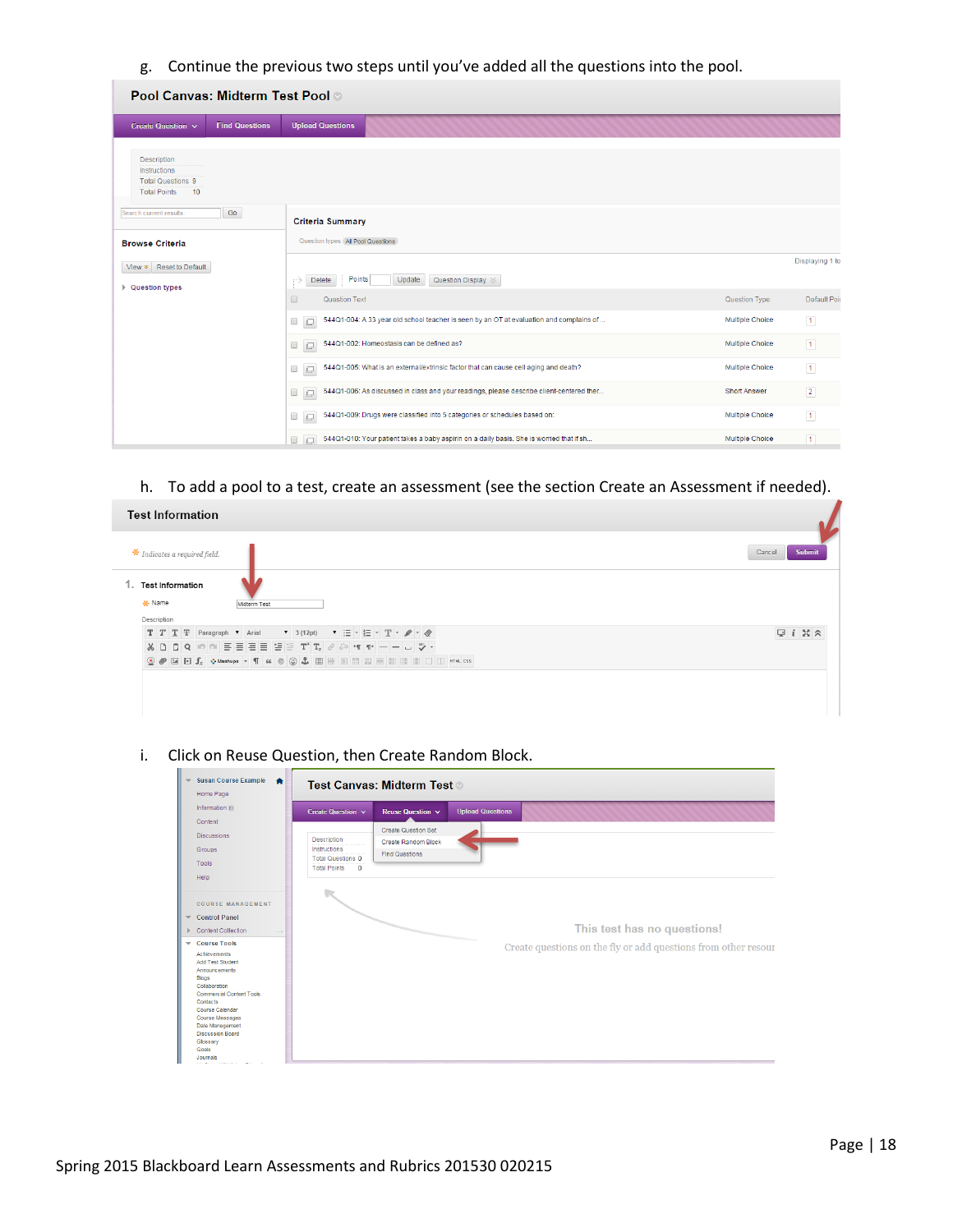g. Continue the previous two steps until you've added all the questions into the pool.

| <b>Pool Canvas: Midterm Test Pool of</b>                                             |                       |                                                                                                              |                        |                 |
|--------------------------------------------------------------------------------------|-----------------------|--------------------------------------------------------------------------------------------------------------|------------------------|-----------------|
| Create Question ~                                                                    | <b>Find Questions</b> | <b>Upload Questions</b>                                                                                      |                        |                 |
| Description<br>Instructions<br><b>Total Questions 9</b><br><b>Total Points</b><br>10 |                       |                                                                                                              |                        |                 |
| Search current results:                                                              | Go                    | <b>Criteria Summary</b>                                                                                      |                        |                 |
| <b>Browse Criteria</b>                                                               |                       | Question types (All Pool Questions                                                                           |                        |                 |
| View * Reset to Default                                                              |                       |                                                                                                              |                        | Displaying 1 to |
| ▶ Question types                                                                     |                       | Points<br>Update<br>Question Display<br>Delete<br>⋼<br>$\Box$<br>Question Text                               | Question Type          | Default Poi     |
|                                                                                      |                       | 544Q1-004: A 33 year old school teacher is seen by an OT at evaluation and complains of<br>$\Box$<br>$\Box$  | <b>Multiple Choice</b> | $\vert$ 1       |
|                                                                                      |                       | 544Q1-002: Homeostasis can be defined as?                                                                    | <b>Multiple Choice</b> |                 |
|                                                                                      |                       | $\qquad \qquad \Box$<br>$\Box$                                                                               |                        | $\boxed{1}$     |
|                                                                                      |                       | 544Q1-005: What is an external/extrinsic factor that can cause cell aging and death?<br>$\Box$               | <b>Multiple Choice</b> | $\boxed{1}$     |
|                                                                                      |                       | 544Q1-006: As discussed in class and your readings, please describe client-centered ther<br>$\Box$<br>$\Box$ | <b>Short Answer</b>    | $\boxed{2}$     |
|                                                                                      |                       | 544Q1-009: Drugs were classified into 5 categories or schedules based on:<br>0<br>$\Box$                     | <b>Multiple Choice</b> | $\boxed{1}$     |
|                                                                                      |                       | 544Q1-010: Your patient takes a baby aspirin on a daily basis. She is worried that if sh<br>$\Box$<br>$\Box$ | <b>Multiple Choice</b> | $\sqrt{1}$      |

h. To add a pool to a test, create an assessment (see the section Create an Assessment if needed).

| <b>Test Information</b>                                                                                                                                                                                                                                                                                                                                                                                                                                                                                                                                                                                                                                                     |                  |
|-----------------------------------------------------------------------------------------------------------------------------------------------------------------------------------------------------------------------------------------------------------------------------------------------------------------------------------------------------------------------------------------------------------------------------------------------------------------------------------------------------------------------------------------------------------------------------------------------------------------------------------------------------------------------------|------------------|
| $\star$ Indicates a required field.                                                                                                                                                                                                                                                                                                                                                                                                                                                                                                                                                                                                                                         | Submit<br>Cancel |
| 1. Test Information<br>* Name<br>Midterm Test<br>Description                                                                                                                                                                                                                                                                                                                                                                                                                                                                                                                                                                                                                |                  |
| ▼ 3(12pt) ▼ 三 マ 三 マ 工 マ ノ マ <i>◇</i><br>$T$ $T$ $T$ $F$ Paragraph $\bullet$ Arial<br>$\textcircled{\textit{2}}\textcolor{red}{\bullet}\textcolor{red}{\blacksquare}\textcolor{red}{\blacksquare}\textcolor{red}{\mathbf{f}_x}\textcolor{red}{\bullet}\textcolor{red}{\textit{Washups}}\textcolor{red}{\hspace{6.8pt}\raisebox{1.4ex}{\hspace{6.8pt}\raisebox{2.4ex}{\textit{Mashups}}}}\textcolor{red}{\cdot}\textcolor{red}{\blacksquare}\textcolor{red}{\mu}\textcolor{red}{\bullet}\textcolor{red}{\odot}\textcolor{red}{\clubsuit}\textcolor{red}{\blacksquare}\textcolor{red}{\blacksquare}\textcolor{red}{\blacksquare}\textcolor{red}{\blacksquare}\textcolor{red}{$ | $Q_i$ $N \times$ |
|                                                                                                                                                                                                                                                                                                                                                                                                                                                                                                                                                                                                                                                                             |                  |

i. Click on Reuse Question, then Create Random Block.

| <b>Susan Course Example</b><br>Home Page                                                                                                                                                                                                                                      | Test Canvas: Midterm Test                                  |                                                          |                         |                                                                |  |
|-------------------------------------------------------------------------------------------------------------------------------------------------------------------------------------------------------------------------------------------------------------------------------|------------------------------------------------------------|----------------------------------------------------------|-------------------------|----------------------------------------------------------------|--|
| Information ##                                                                                                                                                                                                                                                                | Create Question v                                          | Reuse Question v                                         | <b>Upload Questions</b> |                                                                |  |
| Content                                                                                                                                                                                                                                                                       |                                                            |                                                          |                         |                                                                |  |
| <b>Discussions</b>                                                                                                                                                                                                                                                            | Description                                                | <b>Create Question Set</b><br><b>Create Random Block</b> |                         |                                                                |  |
| Groups                                                                                                                                                                                                                                                                        | Instructions                                               | <b>Find Questions</b>                                    |                         |                                                                |  |
| Tools                                                                                                                                                                                                                                                                         | Total Questions 0<br><b>Total Points</b><br>$\overline{0}$ |                                                          |                         |                                                                |  |
| Help                                                                                                                                                                                                                                                                          |                                                            |                                                          |                         |                                                                |  |
| <b>COURSE MANAGEMENT</b><br><b>Control Panel</b><br>$\overline{\phantom{0}}$<br>Content Collection                                                                                                                                                                            |                                                            |                                                          |                         | This test has no questions!                                    |  |
| Course Tools<br>Achievements<br>Add Test Student<br>Announcements<br><b>Blogs</b><br>Collaboration<br><b>Commercial Content Tools</b><br>Contacts<br>Course Calendar<br>Course Messages<br>Date Management<br><b>Discussion Board</b><br>Glossary<br>Goals<br><b>Journals</b> |                                                            |                                                          |                         | Create questions on the fly or add questions from other resour |  |